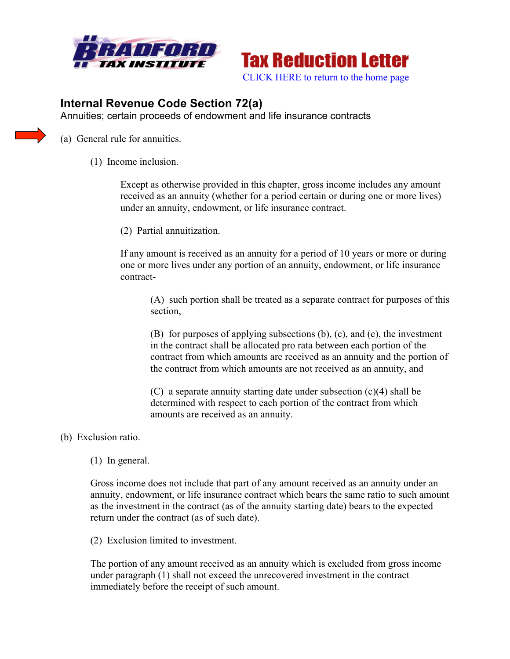



## **Internal Revenue Code Section 72(a)**

Annuities; certain proceeds of endowment and life insurance contracts

(a) General rule for annuities.

(1) Income inclusion.

Except as otherwise provided in this chapter, gross income includes any amount received as an annuity (whether for a period certain or during one or more lives) under an annuity, endowment, or life insurance contract.

(2) Partial annuitization.

If any amount is received as an annuity for a period of 10 years or more or during one or more lives under any portion of an annuity, endowment, or life insurance contract-

(A) such portion shall be treated as a separate contract for purposes of this section,

(B) for purposes of applying subsections (b), (c), and (e), the investment in the contract shall be allocated pro rata between each portion of the contract from which amounts are received as an annuity and the portion of the contract from which amounts are not received as an annuity, and

(C) a separate annuity starting date under subsection (c)(4) shall be determined with respect to each portion of the contract from which amounts are received as an annuity.

## (b) Exclusion ratio.

(1) In general.

Gross income does not include that part of any amount received as an annuity under an annuity, endowment, or life insurance contract which bears the same ratio to such amount as the investment in the contract (as of the annuity starting date) bears to the expected return under the contract (as of such date).

(2) Exclusion limited to investment.

The portion of any amount received as an annuity which is excluded from gross income under paragraph (1) shall not exceed the unrecovered investment in the contract immediately before the receipt of such amount.